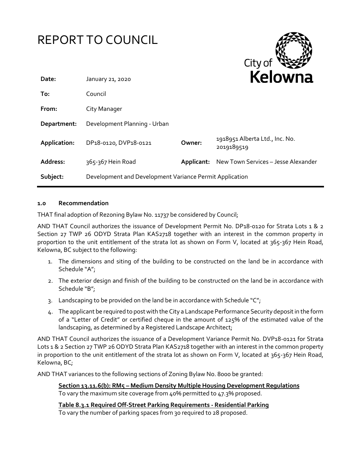|              | <b>REPORT TO COUNCIL</b>                                |            | City of                                      |
|--------------|---------------------------------------------------------|------------|----------------------------------------------|
| Date:        | January 21, 2020                                        |            | Kelowna                                      |
| To:          | Council                                                 |            |                                              |
| From:        | City Manager                                            |            |                                              |
| Department:  | Development Planning - Urban                            |            |                                              |
| Application: | DP18-0120, DVP18-0121                                   | Owner:     | 1918951 Alberta Ltd., Inc. No.<br>2019189519 |
| Address:     | 365-367 Hein Road                                       | Applicant: | New Town Services - Jesse Alexander          |
| Subject:     | Development and Development Variance Permit Application |            |                                              |

### **1.0 Recommendation**

THAT final adoption of Rezoning Bylaw No. 11737 be considered by Council;

AND THAT Council authorizes the issuance of Development Permit No. DP18-0120 for Strata Lots 1 & 2 Section 27 TWP 26 ODYD Strata Plan KAS2718 together with an interest in the common property in proportion to the unit entitlement of the strata lot as shown on Form V, located at 365-367 Hein Road, Kelowna, BC subject to the following:

- 1. The dimensions and siting of the building to be constructed on the land be in accordance with Schedule "A";
- 2. The exterior design and finish of the building to be constructed on the land be in accordance with Schedule "B";
- 3. Landscaping to be provided on the land be in accordance with Schedule " $C$ ";
- 4. The applicant be required to post with the City a Landscape Performance Security deposit in the form of a "Letter of Credit" or certified cheque in the amount of 125% of the estimated value of the landscaping, as determined by a Registered Landscape Architect;

AND THAT Council authorizes the issuance of a Development Variance Permit No. DVP18-0121 for Strata Lots 1 & 2 Section 27 TWP 26 ODYD Strata Plan KAS2718 together with an interest in the common property in proportion to the unit entitlement of the strata lot as shown on Form V, located at 365-367 Hein Road, Kelowna, BC;

AND THAT variances to the following sections of Zoning Bylaw No. 8000 be granted:

**Section 13.11.6(b): RM5 – Medium Density Multiple Housing Development Regulations** To vary the maximum site coverage from 40% permitted to 47.3% proposed.

**Table 8.3.1 Required Off-Street Parking Requirements - Residential Parking** To vary the number of parking spaces from 30 required to 28 proposed.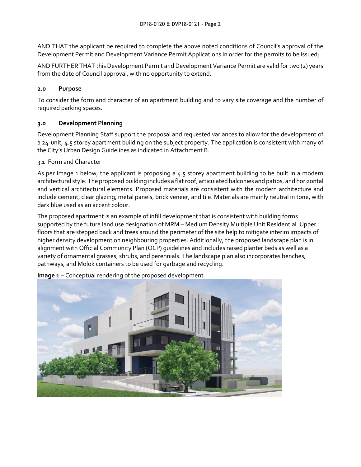AND THAT the applicant be required to complete the above noted conditions of Council's approval of the Development Permit and Development Variance Permit Applications in order for the permits to be issued;

AND FURTHER THAT this Development Permit and Development Variance Permit are valid for two (2) years from the date of Council approval, with no opportunity to extend.

## **2.0 Purpose**

To consider the form and character of an apartment building and to vary site coverage and the number of required parking spaces.

## **3.0 Development Planning**

Development Planning Staff support the proposal and requested variances to allow for the development of a 24-unit, 4.5 storey apartment building on the subject property. The application is consistent with many of the City's Urban Design Guidelines as indicated in Attachment B.

### 3.1 Form and Character

As per Image 1 below, the applicant is proposing a 4.5 storey apartment building to be built in a modern architectural style. The proposed building includes a flat roof, articulated balconies and patios, and horizontal and vertical architectural elements. Proposed materials are consistent with the modern architecture and include cement, clear glazing, metal panels, brick veneer, and tile. Materials are mainly neutral in tone, with dark blue used as an accent colour.

The proposed apartment is an example of infill development that is consistent with building forms supported by the future land use designation of MRM – Medium Density Multiple Unit Residential. Upper floors that are stepped back and trees around the perimeter of the site help to mitigate interim impacts of higher density development on neighbouring properties. Additionally, the proposed landscape plan is in alignment with Official Community Plan (OCP) guidelines and includes raised planter beds as well as a variety of ornamental grasses, shrubs, and perennials. The landscape plan also incorporates benches, pathways, and Molok containers to be used for garbage and recycling.



**Image 1 –** Conceptual rendering of the proposed development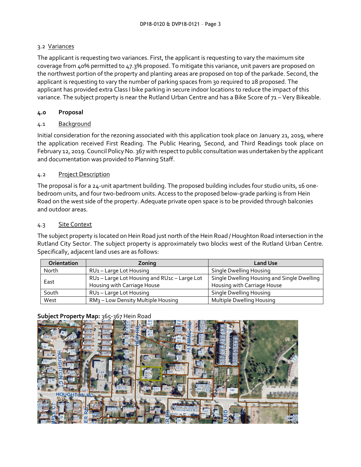## 3.2 Variances

The applicant is requesting two variances. First, the applicant is requesting to vary the maximum site coverage from 40% permitted to 47.3% proposed. To mitigate this variance, unit pavers are proposed on the northwest portion of the property and planting areas are proposed on top of the parkade. Second, the applicant is requesting to vary the number of parking spaces from 30 required to 28 proposed. The applicant has provided extra Class I bike parking in secure indoor locations to reduce the impact of this variance. The subject property is near the Rutland Urban Centre and has a Bike Score of 71 – Very Bikeable.

## **4.0 Proposal**

### 4.1 Background

Initial consideration for the rezoning associated with this application took place on January 21, 2019, where the application received First Reading. The Public Hearing, Second, and Third Readings took place on February 12, 2019. Council Policy No. 367 with respect to public consultation was undertaken by the applicant and documentation was provided to Planning Staff.

### 4.2 Project Description

The proposal is for a 24-unit apartment building. The proposed building includes four studio units, 16 onebedroom units, and four two-bedroom units. Access to the proposed below-grade parking is from Hein Road on the west side of the property. Adequate private open space is to be provided through balconies and outdoor areas.

### 4.3 Site Context

The subject property is located on Hein Road just north of the Hein Road / Houghton Road intersection in the Rutland City Sector. The subject property is approximately two blocks west of the Rutland Urban Centre. Specifically, adjacent land uses are as follows:

| <b>Orientation</b> | Zoning                                         | <b>Land Use</b>                             |
|--------------------|------------------------------------------------|---------------------------------------------|
| North              | RU <sub>1</sub> – Large Lot Housing            | Single Dwelling Housing                     |
| East               | RU1-Large Lot Housing and RU1c-Large Lot       | Single Dwelling Housing and Single Dwelling |
|                    | Housing with Carriage House                    | Housing with Carriage House                 |
| South              | RU1-Large Lot Housing                          | Single Dwelling Housing                     |
| West               | RM <sub>3</sub> – Low Density Multiple Housing | Multiple Dwelling Housing                   |

## **Subject Property Map:** 365-367 Hein Road

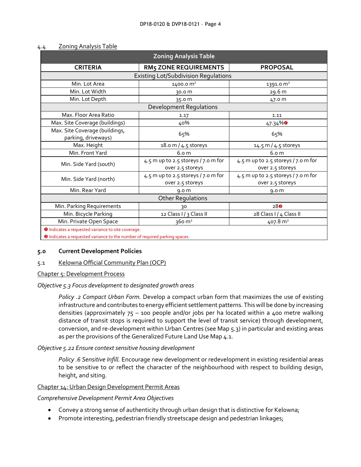| <b>Zoning Analysis Table</b>                                                                                                                                                                |                                                           |                                                         |  |  |  |  |
|---------------------------------------------------------------------------------------------------------------------------------------------------------------------------------------------|-----------------------------------------------------------|---------------------------------------------------------|--|--|--|--|
| <b>CRITERIA</b>                                                                                                                                                                             | <b>RM5 ZONE REQUIREMENTS</b>                              | <b>PROPOSAL</b>                                         |  |  |  |  |
| <b>Existing Lot/Subdivision Regulations</b>                                                                                                                                                 |                                                           |                                                         |  |  |  |  |
| Min. Lot Area                                                                                                                                                                               | 1400.0 m <sup>2</sup>                                     | 1391.0 m <sup>2</sup>                                   |  |  |  |  |
| Min. Lot Width                                                                                                                                                                              | 30.0 m                                                    | 29.6 m                                                  |  |  |  |  |
| Min. Lot Depth                                                                                                                                                                              | 35.0 m                                                    | 47.0 m                                                  |  |  |  |  |
| <b>Development Regulations</b>                                                                                                                                                              |                                                           |                                                         |  |  |  |  |
| Max. Floor Area Ratio                                                                                                                                                                       | 1.17                                                      | 1.11                                                    |  |  |  |  |
| Max. Site Coverage (buildings)                                                                                                                                                              | 40%                                                       | $47.34\%$                                               |  |  |  |  |
| Max. Site Coverage (buildings,<br>parking, driveways)                                                                                                                                       | 65%                                                       | 65%                                                     |  |  |  |  |
| Max. Height                                                                                                                                                                                 | 18.0 m / 4.5 storeys                                      | 14.5 m / 4.5 storeys                                    |  |  |  |  |
| Min. Front Yard                                                                                                                                                                             | 6.0 <sub>m</sub>                                          | 6.0 <sub>m</sub>                                        |  |  |  |  |
| Min. Side Yard (south)                                                                                                                                                                      | 4.5 m up to 2.5 storeys / $7.0$ m for<br>over 2.5 storeys | 4.5 m up to 2.5 storeys / 7.0 m for<br>over 2.5 storeys |  |  |  |  |
| Min. Side Yard (north)                                                                                                                                                                      | 4.5 m up to 2.5 storeys / $7.0$ m for<br>over 2.5 storeys | 4.5 m up to 2.5 storeys / 7.0 m for<br>over 2.5 storeys |  |  |  |  |
| Min. Rear Yard                                                                                                                                                                              | 9.0 <sub>m</sub>                                          | 9.0 <sub>m</sub>                                        |  |  |  |  |
| <b>Other Regulations</b>                                                                                                                                                                    |                                                           |                                                         |  |  |  |  |
| Min. Parking Requirements                                                                                                                                                                   | 30                                                        | 280                                                     |  |  |  |  |
| Min. Bicycle Parking                                                                                                                                                                        | 12 Class I / 3 Class II                                   | 28 Class I / 4 Class II                                 |  |  |  |  |
| Min. Private Open Space                                                                                                                                                                     | $360 \text{ m}^2$                                         | 407.8 m <sup>2</sup>                                    |  |  |  |  |
| <b>O</b> Indicates a requested variance to site coverage.<br>$\bullet$ the discovered construction of the state of the state of the state $\epsilon$ and the discovered of the state of the |                                                           |                                                         |  |  |  |  |

## 4.4 Zoning Analysis Table

**D** Indicates a requested variance to the number of required parking spaces.

#### **5.0 Current Development Policies**

#### 5.1 Kelowna Official Community Plan (OCP)

Chapter 5: Development Process

#### *Objective 5.3 Focus development to designated growth areas*

*Policy .2 Compact Urban Form.* Develop a compact urban form that maximizes the use of existing infrastructure and contributes to energy efficient settlement patterns. This will be done by increasing densities (approximately  $75 - 100$  people and/or jobs per ha located within a 400 metre walking distance of transit stops is required to support the level of transit service) through development, conversion, and re-development within Urban Centres (see Map 5.3) in particular and existing areas as per the provisions of the Generalized Future Land Use Map 4.1.

#### *Objective 5.22 Ensure context sensitive housing development*

*Policy .6 Sensitive Infill.* Encourage new development or redevelopment in existing residential areas to be sensitive to or reflect the character of the neighbourhood with respect to building design, height, and siting.

#### Chapter 14: Urban Design Development Permit Areas

#### *Comprehensive Development Permit Area Objectives*

- Convey a strong sense of authenticity through urban design that is distinctive for Kelowna;
- Promote interesting, pedestrian friendly streetscape design and pedestrian linkages;